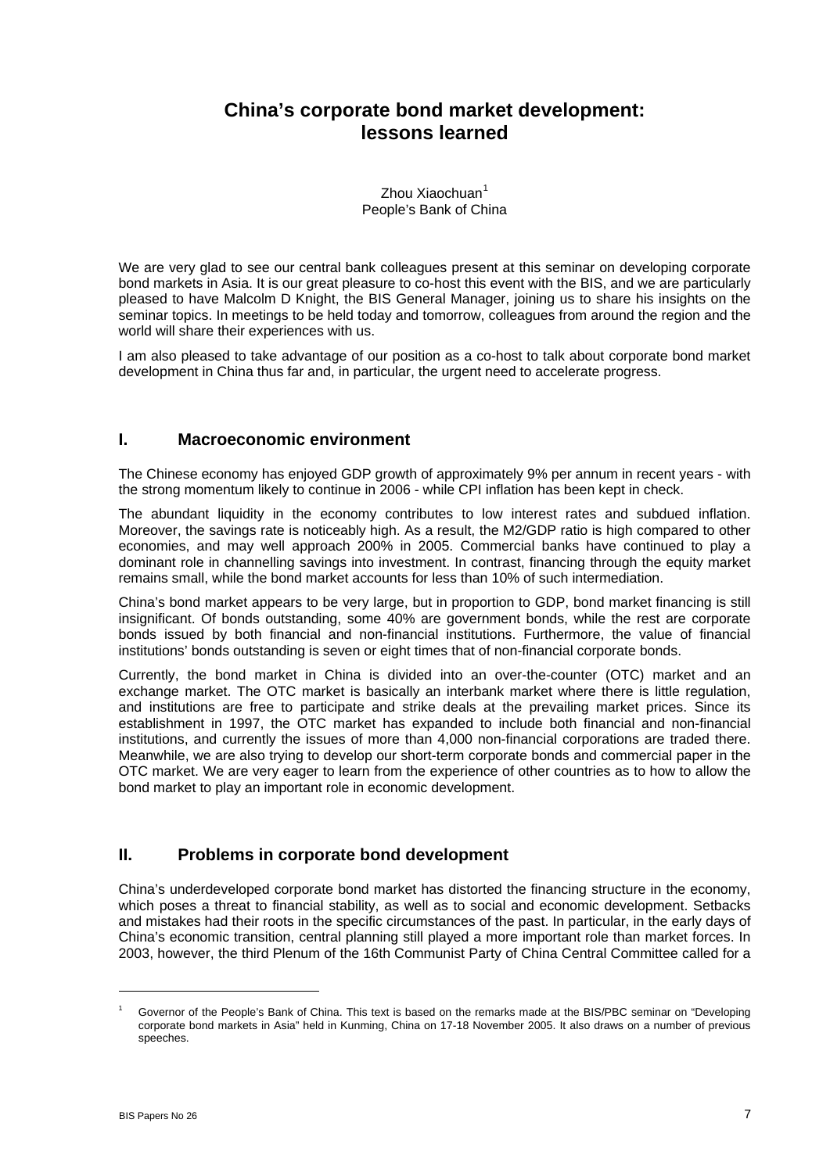# **China's corporate bond market development: lessons learned**

Zhou Xiaochuan<sup>[1](#page-0-0)</sup> People's Bank of China

We are very glad to see our central bank colleagues present at this seminar on developing corporate bond markets in Asia. It is our great pleasure to co-host this event with the BIS, and we are particularly pleased to have Malcolm D Knight, the BIS General Manager, joining us to share his insights on the seminar topics. In meetings to be held today and tomorrow, colleagues from around the region and the world will share their experiences with us.

I am also pleased to take advantage of our position as a co-host to talk about corporate bond market development in China thus far and, in particular, the urgent need to accelerate progress.

#### **I. Macroeconomic environment**

The Chinese economy has enjoyed GDP growth of approximately 9% per annum in recent years - with the strong momentum likely to continue in 2006 - while CPI inflation has been kept in check.

The abundant liquidity in the economy contributes to low interest rates and subdued inflation. Moreover, the savings rate is noticeably high. As a result, the M2/GDP ratio is high compared to other economies, and may well approach 200% in 2005. Commercial banks have continued to play a dominant role in channelling savings into investment. In contrast, financing through the equity market remains small, while the bond market accounts for less than 10% of such intermediation.

China's bond market appears to be very large, but in proportion to GDP, bond market financing is still insignificant. Of bonds outstanding, some 40% are government bonds, while the rest are corporate bonds issued by both financial and non-financial institutions. Furthermore, the value of financial institutions' bonds outstanding is seven or eight times that of non-financial corporate bonds.

Currently, the bond market in China is divided into an over-the-counter (OTC) market and an exchange market. The OTC market is basically an interbank market where there is little regulation, and institutions are free to participate and strike deals at the prevailing market prices. Since its establishment in 1997, the OTC market has expanded to include both financial and non-financial institutions, and currently the issues of more than 4,000 non-financial corporations are traded there. Meanwhile, we are also trying to develop our short-term corporate bonds and commercial paper in the OTC market. We are very eager to learn from the experience of other countries as to how to allow the bond market to play an important role in economic development.

## **II. Problems in corporate bond development**

China's underdeveloped corporate bond market has distorted the financing structure in the economy, which poses a threat to financial stability, as well as to social and economic development. Setbacks and mistakes had their roots in the specific circumstances of the past. In particular, in the early days of China's economic transition, central planning still played a more important role than market forces. In 2003, however, the third Plenum of the 16th Communist Party of China Central Committee called for a

-

<span id="page-0-0"></span><sup>1</sup> Governor of the People's Bank of China. This text is based on the remarks made at the BIS/PBC seminar on "Developing corporate bond markets in Asia" held in Kunming, China on 17-18 November 2005. It also draws on a number of previous speeches.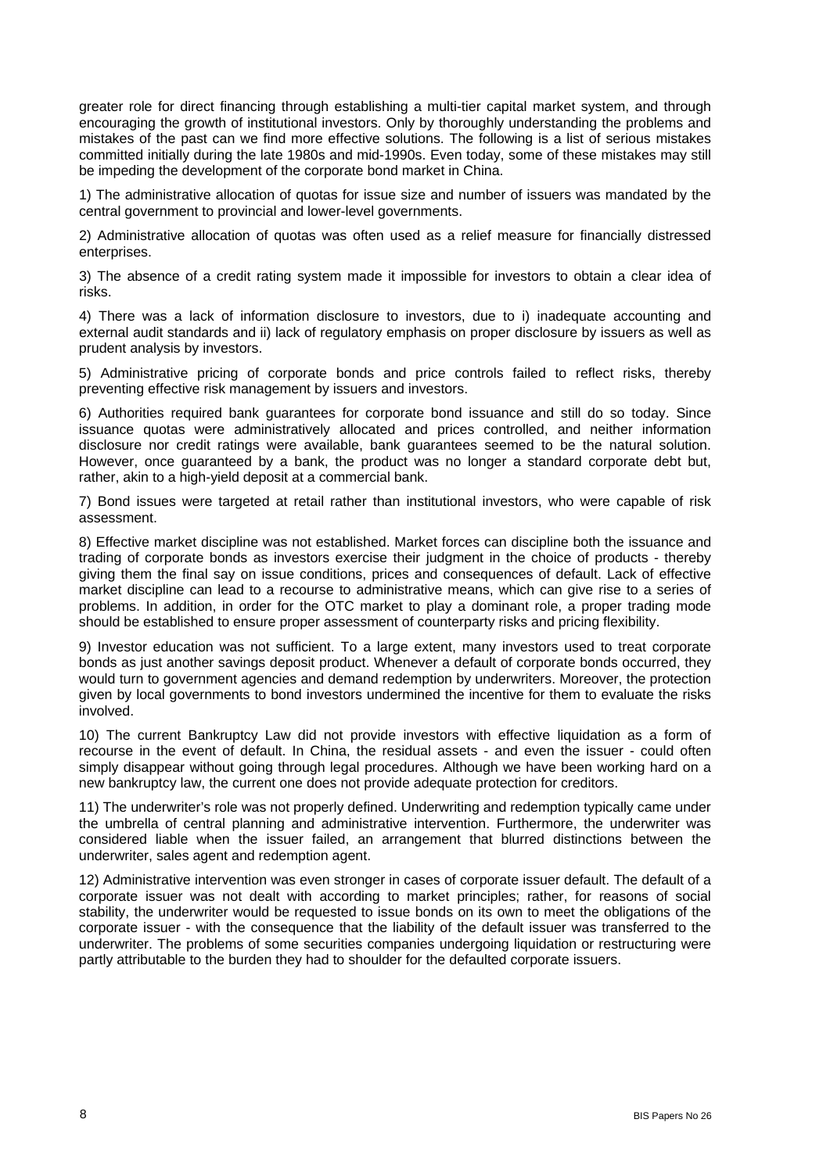greater role for direct financing through establishing a multi-tier capital market system, and through encouraging the growth of institutional investors. Only by thoroughly understanding the problems and mistakes of the past can we find more effective solutions. The following is a list of serious mistakes committed initially during the late 1980s and mid-1990s. Even today, some of these mistakes may still be impeding the development of the corporate bond market in China.

1) The administrative allocation of quotas for issue size and number of issuers was mandated by the central government to provincial and lower-level governments.

2) Administrative allocation of quotas was often used as a relief measure for financially distressed enterprises.

3) The absence of a credit rating system made it impossible for investors to obtain a clear idea of risks.

4) There was a lack of information disclosure to investors, due to i) inadequate accounting and external audit standards and ii) lack of regulatory emphasis on proper disclosure by issuers as well as prudent analysis by investors.

5) Administrative pricing of corporate bonds and price controls failed to reflect risks, thereby preventing effective risk management by issuers and investors.

6) Authorities required bank guarantees for corporate bond issuance and still do so today. Since issuance quotas were administratively allocated and prices controlled, and neither information disclosure nor credit ratings were available, bank guarantees seemed to be the natural solution. However, once guaranteed by a bank, the product was no longer a standard corporate debt but, rather, akin to a high-yield deposit at a commercial bank.

7) Bond issues were targeted at retail rather than institutional investors, who were capable of risk assessment.

8) Effective market discipline was not established. Market forces can discipline both the issuance and trading of corporate bonds as investors exercise their judgment in the choice of products - thereby giving them the final say on issue conditions, prices and consequences of default. Lack of effective market discipline can lead to a recourse to administrative means, which can give rise to a series of problems. In addition, in order for the OTC market to play a dominant role, a proper trading mode should be established to ensure proper assessment of counterparty risks and pricing flexibility.

9) Investor education was not sufficient. To a large extent, many investors used to treat corporate bonds as just another savings deposit product. Whenever a default of corporate bonds occurred, they would turn to government agencies and demand redemption by underwriters. Moreover, the protection given by local governments to bond investors undermined the incentive for them to evaluate the risks involved.

10) The current Bankruptcy Law did not provide investors with effective liquidation as a form of recourse in the event of default. In China, the residual assets - and even the issuer - could often simply disappear without going through legal procedures. Although we have been working hard on a new bankruptcy law, the current one does not provide adequate protection for creditors.

11) The underwriter's role was not properly defined. Underwriting and redemption typically came under the umbrella of central planning and administrative intervention. Furthermore, the underwriter was considered liable when the issuer failed, an arrangement that blurred distinctions between the underwriter, sales agent and redemption agent.

12) Administrative intervention was even stronger in cases of corporate issuer default. The default of a corporate issuer was not dealt with according to market principles; rather, for reasons of social stability, the underwriter would be requested to issue bonds on its own to meet the obligations of the corporate issuer - with the consequence that the liability of the default issuer was transferred to the underwriter. The problems of some securities companies undergoing liquidation or restructuring were partly attributable to the burden they had to shoulder for the defaulted corporate issuers.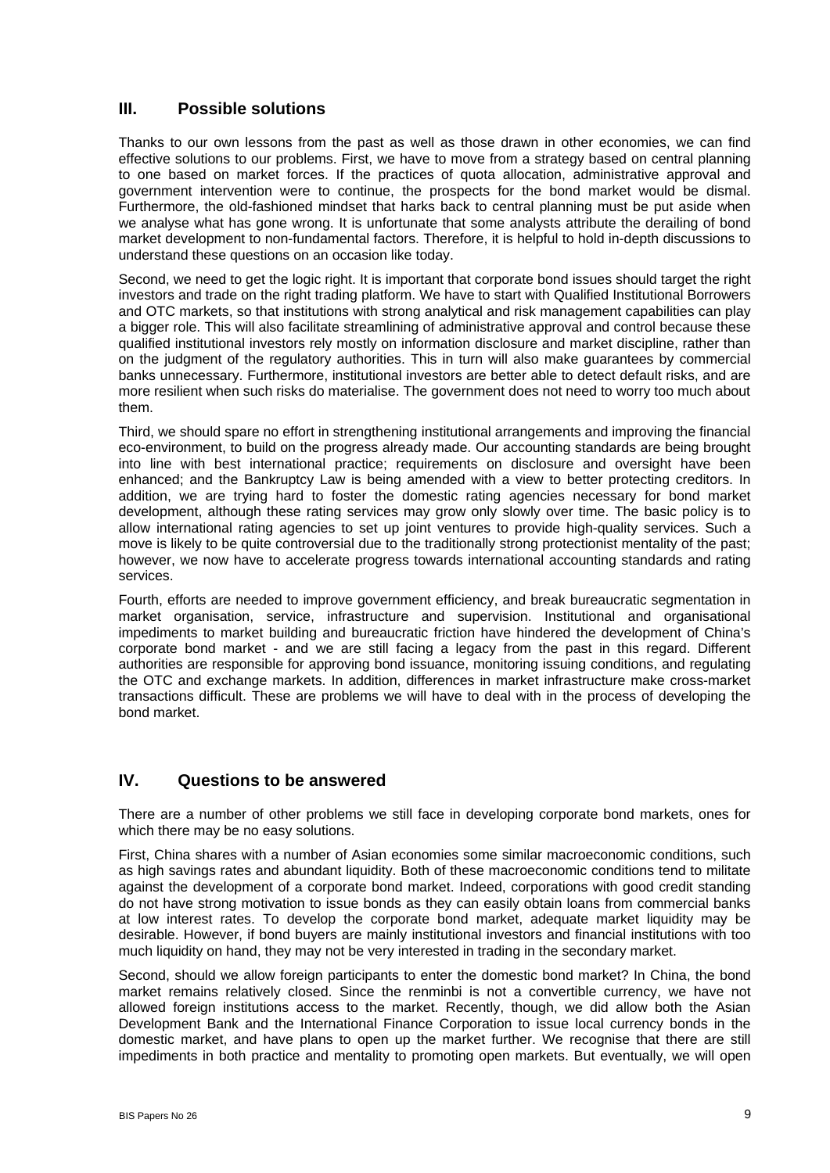## **III. Possible solutions**

Thanks to our own lessons from the past as well as those drawn in other economies, we can find effective solutions to our problems. First, we have to move from a strategy based on central planning to one based on market forces. If the practices of quota allocation, administrative approval and government intervention were to continue, the prospects for the bond market would be dismal. Furthermore, the old-fashioned mindset that harks back to central planning must be put aside when we analyse what has gone wrong. It is unfortunate that some analysts attribute the derailing of bond market development to non-fundamental factors. Therefore, it is helpful to hold in-depth discussions to understand these questions on an occasion like today.

Second, we need to get the logic right. It is important that corporate bond issues should target the right investors and trade on the right trading platform. We have to start with Qualified Institutional Borrowers and OTC markets, so that institutions with strong analytical and risk management capabilities can play a bigger role. This will also facilitate streamlining of administrative approval and control because these qualified institutional investors rely mostly on information disclosure and market discipline, rather than on the judgment of the regulatory authorities. This in turn will also make guarantees by commercial banks unnecessary. Furthermore, institutional investors are better able to detect default risks, and are more resilient when such risks do materialise. The government does not need to worry too much about them.

Third, we should spare no effort in strengthening institutional arrangements and improving the financial eco-environment, to build on the progress already made. Our accounting standards are being brought into line with best international practice; requirements on disclosure and oversight have been enhanced; and the Bankruptcy Law is being amended with a view to better protecting creditors. In addition, we are trying hard to foster the domestic rating agencies necessary for bond market development, although these rating services may grow only slowly over time. The basic policy is to allow international rating agencies to set up joint ventures to provide high-quality services. Such a move is likely to be quite controversial due to the traditionally strong protectionist mentality of the past; however, we now have to accelerate progress towards international accounting standards and rating services.

Fourth, efforts are needed to improve government efficiency, and break bureaucratic segmentation in market organisation, service, infrastructure and supervision. Institutional and organisational impediments to market building and bureaucratic friction have hindered the development of China's corporate bond market - and we are still facing a legacy from the past in this regard. Different authorities are responsible for approving bond issuance, monitoring issuing conditions, and regulating the OTC and exchange markets. In addition, differences in market infrastructure make cross-market transactions difficult. These are problems we will have to deal with in the process of developing the bond market.

## **IV. Questions to be answered**

There are a number of other problems we still face in developing corporate bond markets, ones for which there may be no easy solutions.

First, China shares with a number of Asian economies some similar macroeconomic conditions, such as high savings rates and abundant liquidity. Both of these macroeconomic conditions tend to militate against the development of a corporate bond market. Indeed, corporations with good credit standing do not have strong motivation to issue bonds as they can easily obtain loans from commercial banks at low interest rates. To develop the corporate bond market, adequate market liquidity may be desirable. However, if bond buyers are mainly institutional investors and financial institutions with too much liquidity on hand, they may not be very interested in trading in the secondary market.

Second, should we allow foreign participants to enter the domestic bond market? In China, the bond market remains relatively closed. Since the renminbi is not a convertible currency, we have not allowed foreign institutions access to the market. Recently, though, we did allow both the Asian Development Bank and the International Finance Corporation to issue local currency bonds in the domestic market, and have plans to open up the market further. We recognise that there are still impediments in both practice and mentality to promoting open markets. But eventually, we will open